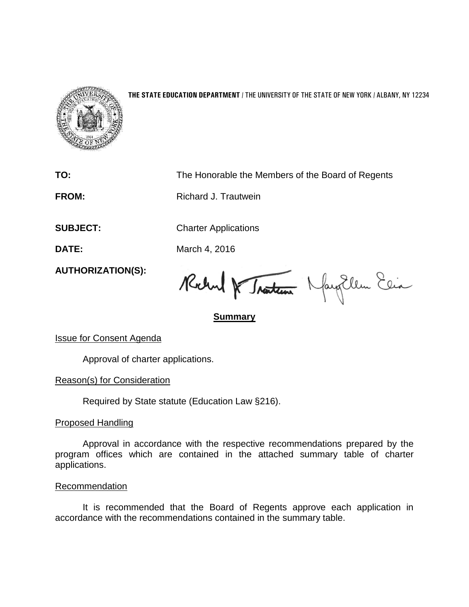

## **THE STATE EDUCATION DEPARTMENT** / THE UNIVERSITY OF THE STATE OF NEW YORK / ALBANY, NY 12234

**TO:** The Honorable the Members of the Board of Regents

**FROM:** Richard J. Trautwein

**SUBJECT:** Charter Applications

**DATE:** March 4, 2016

**AUTHORIZATION(S):**

Robert & Tracteur Navy Ellen Esia

**Summary**

Issue for Consent Agenda

Approval of charter applications.

Reason(s) for Consideration

Required by State statute (Education Law §216).

Proposed Handling

Approval in accordance with the respective recommendations prepared by the program offices which are contained in the attached summary table of charter applications.

**Recommendation** 

It is recommended that the Board of Regents approve each application in accordance with the recommendations contained in the summary table.